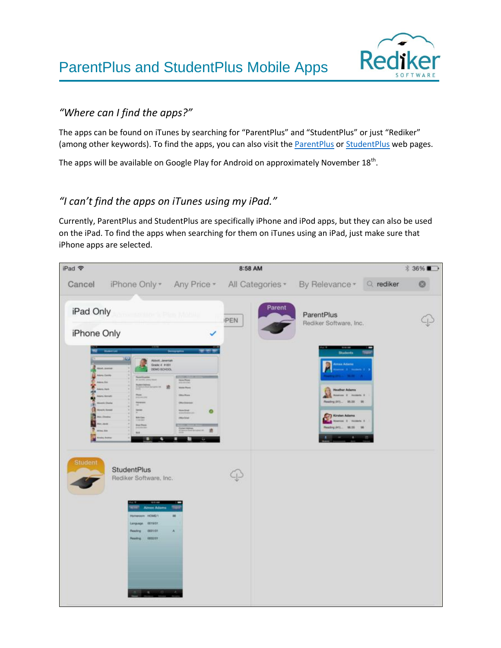ParentPlus and StudentPlus Mobile Apps



#### *"Where can I find the apps?"*

The apps can be found on iTunes by searching for "ParentPlus" and "StudentPlus" or just "Rediker" (among other keywords). To find the apps, you can also visit the [ParentPlus](https://itunes.apple.com/WebObjects/MZStore.woa/wa/viewSoftware?id=648334615&mt=8) or [StudentPlus](https://itunes.apple.com/WebObjects/MZStore.woa/wa/viewSoftware?id=648335015&mt=8) web pages.

The apps will be available on Google Play for Android on approximately November  $18^{th}$ .

### *"I can't find the apps on iTunes using my iPad."*

Currently, ParentPlus and StudentPlus are specifically iPhone and iPod apps, but they can also be used on the iPad. To find the apps when searching for them on iTunes using an iPad, just make sure that iPhone apps are selected.